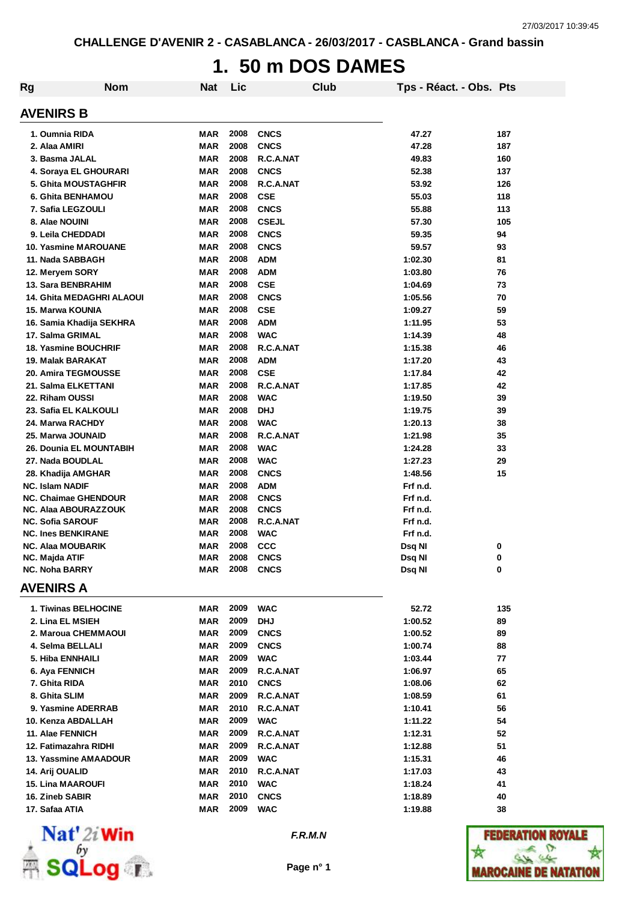# **1. 50 m DOS DAMES**

| <b>Rg</b> | <b>Nom</b>                        | <b>Nat</b>               | Lic          |                  | <b>Club</b> | Tps - Réact. - Obs. Pts |          |
|-----------|-----------------------------------|--------------------------|--------------|------------------|-------------|-------------------------|----------|
|           | <b>AVENIRS B</b>                  |                          |              |                  |             |                         |          |
|           | 1. Oumnia RIDA                    | MAR                      | 2008         | <b>CNCS</b>      |             | 47.27                   | 187      |
|           | 2. Alaa AMIRI                     | <b>MAR</b>               | 2008         | <b>CNCS</b>      |             | 47.28                   | 187      |
|           | 3. Basma JALAL                    | <b>MAR</b>               | 2008         | R.C.A.NAT        |             | 49.83                   | 160      |
|           | 4. Soraya EL GHOURARI             | <b>MAR</b>               | 2008         | <b>CNCS</b>      |             | 52.38                   | 137      |
|           | <b>5. Ghita MOUSTAGHFIR</b>       | MAR                      | 2008         | R.C.A.NAT        |             | 53.92                   | 126      |
|           | 6. Ghita BENHAMOU                 | <b>MAR</b>               | 2008         | <b>CSE</b>       |             | 55.03                   | 118      |
|           | 7. Safia LEGZOULI                 | <b>MAR</b>               | 2008         | <b>CNCS</b>      |             | 55.88                   | 113      |
|           | 8. Alae NOUINI                    | <b>MAR</b>               | 2008         | <b>CSEJL</b>     |             | 57.30                   | 105      |
|           | 9. Leila CHEDDADI                 | <b>MAR</b>               | 2008         | <b>CNCS</b>      |             | 59.35                   | 94       |
|           | 10. Yasmine MAROUANE              | <b>MAR</b>               | 2008         | <b>CNCS</b>      |             | 59.57                   | 93       |
|           | 11. Nada SABBAGH                  | <b>MAR</b>               | 2008         | <b>ADM</b>       |             | 1:02.30                 | 81       |
|           | 12. Meryem SORY                   | <b>MAR</b>               | 2008         | <b>ADM</b>       |             | 1:03.80                 | 76       |
|           | 13. Sara BENBRAHIM                | <b>MAR</b>               | 2008         | <b>CSE</b>       |             | 1:04.69                 | 73       |
|           | <b>14. Ghita MEDAGHRI ALAOUI</b>  | MAR                      | 2008         | <b>CNCS</b>      |             | 1:05.56                 | 70       |
|           | 15. Marwa KOUNIA                  | <b>MAR</b>               | 2008         | <b>CSE</b>       |             | 1:09.27                 | 59       |
|           | 16. Samia Khadija SEKHRA          | MAR                      | 2008         | <b>ADM</b>       |             | 1:11.95                 | 53       |
|           | 17. Salma GRIMAL                  | MAR                      | 2008         | <b>WAC</b>       |             | 1:14.39                 | 48       |
|           | <b>18. Yasmine BOUCHRIF</b>       | MAR                      | 2008         | R.C.A.NAT        |             | 1:15.38                 | 46       |
|           | 19. Malak BARAKAT                 | MAR                      | 2008         | <b>ADM</b>       |             | 1:17.20                 | 43       |
|           | 20. Amira TEGMOUSSE               | MAR                      | 2008         | <b>CSE</b>       |             | 1:17.84                 | 42       |
|           | 21. Salma ELKETTANI               | MAR                      | 2008         | R.C.A.NAT        |             | 1:17.85                 | 42       |
|           | 22. Riham OUSSI                   | MAR                      | 2008         | <b>WAC</b>       |             | 1:19.50                 | 39       |
|           | 23. Safia EL KALKOULI             | MAR                      | 2008         | <b>DHJ</b>       |             | 1:19.75                 | 39       |
|           | 24. Marwa RACHDY                  | MAR                      | 2008         | <b>WAC</b>       |             | 1:20.13                 | 38       |
|           | 25. Marwa JOUNAID                 | MAR                      | 2008         | R.C.A.NAT        |             | 1:21.98                 | 35       |
|           | <b>26. Dounia EL MOUNTABIH</b>    | MAR                      | 2008         | <b>WAC</b>       |             | 1:24.28                 | 33       |
|           | 27. Nada BOUDLAL                  | MAR                      | 2008         | <b>WAC</b>       |             | 1:27.23                 | 29       |
|           | 28. Khadija AMGHAR                | MAR                      | 2008         | <b>CNCS</b>      |             | 1:48.56                 | 15       |
|           | <b>NC. Islam NADIF</b>            | MAR                      | 2008         | <b>ADM</b>       |             | Frf n.d.                |          |
|           | <b>NC. Chaimae GHENDOUR</b>       | MAR                      | 2008         | <b>CNCS</b>      |             | Frf n.d.                |          |
|           | NC. Alaa ABOURAZZOUK              | MAR                      | 2008         | <b>CNCS</b>      |             | Frf n.d.                |          |
|           | <b>NC. Sofia SAROUF</b>           | MAR                      | 2008         | R.C.A.NAT        |             | Frf n.d.                |          |
|           | <b>NC. Ines BENKIRANE</b>         | MAR                      | 2008         | <b>WAC</b>       |             | Frf n.d.                |          |
|           | <b>NC. Alaa MOUBARIK</b>          | MAR                      | 2008         | <b>CCC</b>       |             | Dsq NI                  | 0        |
|           | NC. Majda ATIF                    | <b>MAR</b>               | 2008         | <b>CNCS</b>      |             | Dsq NI                  | 0        |
|           | <b>NC. Noha BARRY</b>             | MAR                      |              | <b>2008 CNCS</b> |             | Dsq NI                  | 0        |
|           | <b>AVENIRS A</b>                  |                          |              |                  |             |                         |          |
|           | 1. Tiwinas BELHOCINE              | MAR                      | 2009         | <b>WAC</b>       |             | 52.72                   | 135      |
|           | 2. Lina EL MSIEH                  | MAR                      | 2009         | <b>DHJ</b>       |             | 1:00.52                 | 89       |
|           | 2. Maroua CHEMMAOUI               | MAR                      | 2009         | <b>CNCS</b>      |             | 1:00.52                 | 89       |
|           | 4. Selma BELLALI                  | MAR                      | 2009         | <b>CNCS</b>      |             | 1:00.74                 | 88       |
|           | 5. Hiba ENNHAILI                  | MAR                      | 2009         | <b>WAC</b>       |             | 1:03.44                 | 77       |
|           | 6. Aya FENNICH                    | MAR                      | 2009         | R.C.A.NAT        |             | 1:06.97                 | 65       |
|           | 7. Ghita RIDA                     | MAR                      | 2010         | <b>CNCS</b>      |             | 1:08.06                 | 62       |
|           | 8. Ghita SLIM                     | MAR                      | 2009         | R.C.A.NAT        |             | 1:08.59                 | 61       |
|           | 9. Yasmine ADERRAB                | MAR                      | 2010         | R.C.A.NAT        |             | 1:10.41                 | 56       |
|           | 10. Kenza ABDALLAH                | MAR                      | 2009         | <b>WAC</b>       |             | 1:11.22                 | 54       |
|           | 11. Alae FENNICH                  | MAR                      | 2009         | R.C.A.NAT        |             | 1:12.31                 | 52       |
|           | 12. Fatimazahra RIDHI             | MAR                      | 2009         | R.C.A.NAT        |             | 1:12.88                 | 51       |
|           | 13. Yassmine AMAADOUR             | MAR                      | 2009         | <b>WAC</b>       |             | 1:15.31                 | 46       |
|           | 14. Arij OUALID                   | MAR                      | 2010         | R.C.A.NAT        |             | 1:17.03                 | 43       |
|           | <b>15. Lina MAAROUFI</b>          | MAR                      | 2010<br>2010 | <b>WAC</b>       |             | 1:18.24                 | 41       |
|           | 16. Zineb SABIR<br>17. Safaa ATIA | <b>MAR</b><br><b>MAR</b> | 2009         | <b>CNCS</b>      |             | 1:18.89                 | 40<br>38 |
|           |                                   |                          |              | <b>WAC</b>       |             | 1:19.88                 |          |



*F.R.M.N*

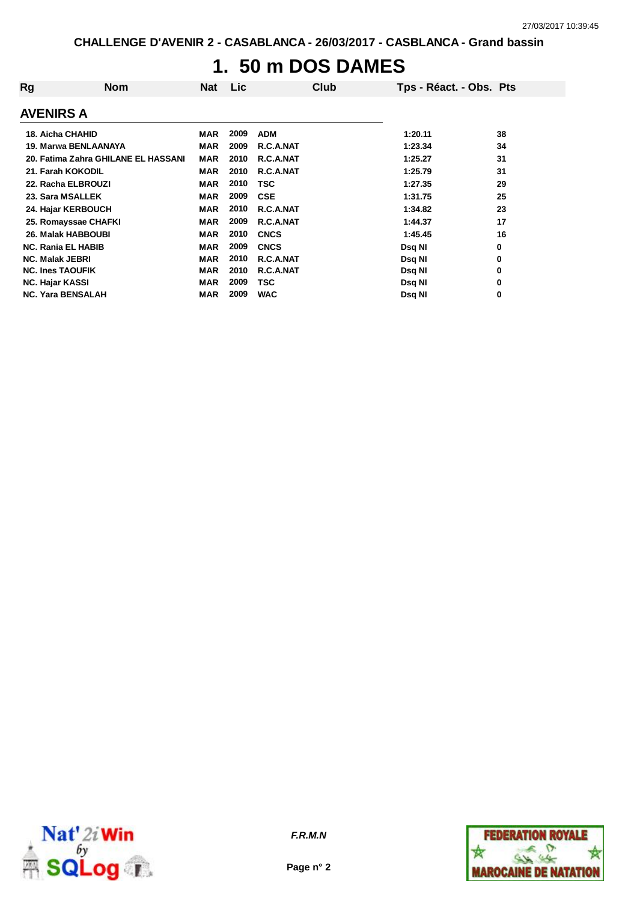# **1. 50 m DOS DAMES**

| Rg<br><b>Nom</b>                    | Nat        | <b>Lic</b> |             | Club | Tps - Réact. - Obs. Pts |    |
|-------------------------------------|------------|------------|-------------|------|-------------------------|----|
| <b>AVENIRS A</b>                    |            |            |             |      |                         |    |
| <b>18. Aicha CHAHID</b>             | MAR        | 2009       | <b>ADM</b>  |      | 1:20.11                 | 38 |
| 19. Marwa BENLAANAYA                | <b>MAR</b> | 2009       | R.C.A.NAT   |      | 1:23.34                 | 34 |
| 20. Fatima Zahra GHILANE EL HASSANI | <b>MAR</b> | 2010       | R.C.A.NAT   |      | 1:25.27                 | 31 |
| 21. Farah KOKODIL                   | <b>MAR</b> | 2010       | R.C.A.NAT   |      | 1:25.79                 | 31 |
| 22. Racha ELBROUZI                  | <b>MAR</b> | 2010       | TSC         |      | 1:27.35                 | 29 |
| 23. Sara MSALLEK                    | <b>MAR</b> | 2009       | <b>CSE</b>  |      | 1:31.75                 | 25 |
| 24. Hajar KERBOUCH                  | <b>MAR</b> | 2010       | R.C.A.NAT   |      | 1:34.82                 | 23 |
| 25. Romayssae CHAFKI                | <b>MAR</b> | 2009       | R.C.A.NAT   |      | 1:44.37                 | 17 |
| <b>26. Malak HABBOUBI</b>           | <b>MAR</b> | 2010       | <b>CNCS</b> |      | 1:45.45                 | 16 |
| <b>NC. Rania EL HABIB</b>           | <b>MAR</b> | 2009       | <b>CNCS</b> |      | Dsq NI                  | 0  |
| <b>NC. Malak JEBRI</b>              | <b>MAR</b> | 2010       | R.C.A.NAT   |      | Dsq NI                  | 0  |
| <b>NC. Ines TAOUFIK</b>             | <b>MAR</b> | 2010       | R.C.A.NAT   |      | Dsq NI                  | 0  |
| <b>NC. Hajar KASSI</b>              | <b>MAR</b> | 2009       | TSC         |      | Dsq NI                  | 0  |
| <b>NC. Yara BENSALAH</b>            | <b>MAR</b> | 2009       | <b>WAC</b>  |      | Dsq NI                  | 0  |



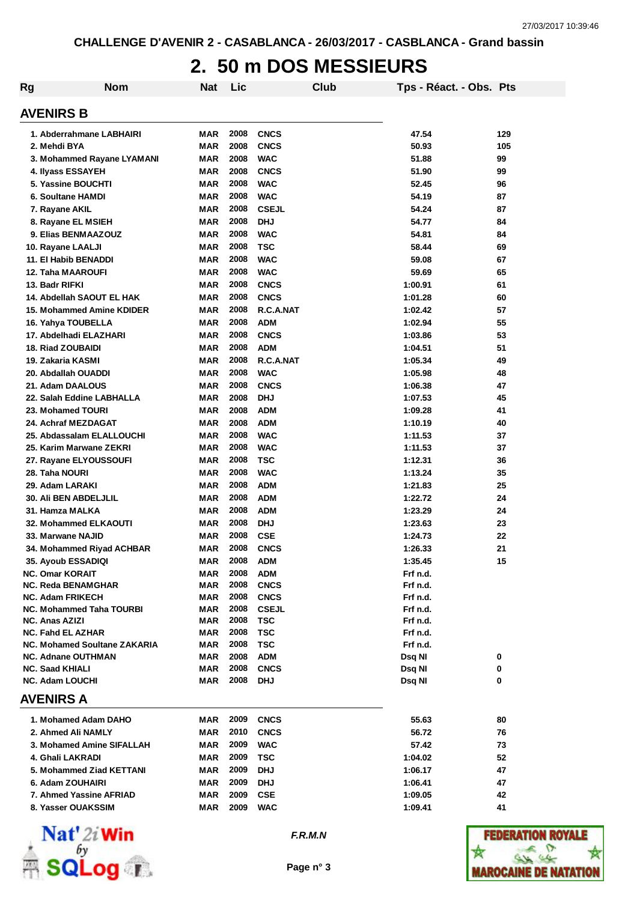### **2. 50 m DOS MESSIEURS**

| <b>Rg</b>                                           | <b>Nom</b> | <b>Nat</b> | Lic          |                           | Club |                  | Tps - Réact. - Obs. Pts |        |
|-----------------------------------------------------|------------|------------|--------------|---------------------------|------|------------------|-------------------------|--------|
| <b>AVENIRS B</b>                                    |            |            |              |                           |      |                  |                         |        |
| 1. Abderrahmane LABHAIRI                            |            | MAR        | 2008         | <b>CNCS</b>               |      | 47.54            |                         | 129    |
| 2. Mehdi BYA                                        |            | <b>MAR</b> | 2008         | <b>CNCS</b>               |      | 50.93            |                         | 105    |
| 3. Mohammed Rayane LYAMANI                          |            | <b>MAR</b> | 2008         | <b>WAC</b>                |      | 51.88            |                         | 99     |
| 4. Ilyass ESSAYEH                                   |            | <b>MAR</b> | 2008         | <b>CNCS</b>               |      | 51.90            |                         | 99     |
| 5. Yassine BOUCHTI                                  |            | <b>MAR</b> | 2008         | <b>WAC</b>                |      | 52.45            |                         | 96     |
| 6. Soultane HAMDI                                   |            | <b>MAR</b> | 2008         | <b>WAC</b>                |      | 54.19            |                         | 87     |
| 7. Rayane AKIL                                      |            | <b>MAR</b> | 2008         | <b>CSEJL</b>              |      | 54.24            |                         | 87     |
| 8. Rayane EL MSIEH                                  |            | <b>MAR</b> | 2008         | <b>DHJ</b>                |      | 54.77            |                         | 84     |
| 9. Elias BENMAAZOUZ                                 |            | <b>MAR</b> | 2008         | <b>WAC</b>                |      | 54.81            |                         | 84     |
| 10. Rayane LAALJI                                   |            | <b>MAR</b> | 2008         | <b>TSC</b>                |      | 58.44            |                         | 69     |
| 11. El Habib BENADDI                                |            | <b>MAR</b> | 2008         | <b>WAC</b>                |      | 59.08            |                         | 67     |
| <b>12. Taha MAAROUFI</b>                            |            | <b>MAR</b> | 2008         | <b>WAC</b>                |      | 59.69            |                         | 65     |
| 13. Badr RIFKI                                      |            | <b>MAR</b> | 2008         | <b>CNCS</b>               |      | 1:00.91          |                         | 61     |
| 14. Abdellah SAOUT EL HAK                           |            | <b>MAR</b> | 2008         | <b>CNCS</b>               |      | 1:01.28          |                         | 60     |
| 15. Mohammed Amine KDIDER                           |            | <b>MAR</b> | 2008         | R.C.A.NAT                 |      | 1:02.42          |                         | 57     |
| 16. Yahya TOUBELLA                                  |            | <b>MAR</b> | 2008         | <b>ADM</b>                |      | 1:02.94          |                         | 55     |
| 17. Abdelhadi ELAZHARI                              |            | <b>MAR</b> | 2008         | <b>CNCS</b>               |      | 1:03.86          |                         | 53     |
| <b>18. Riad ZOUBAIDI</b>                            |            | <b>MAR</b> | 2008         | <b>ADM</b>                |      | 1:04.51          |                         | 51     |
| 19. Zakaria KASMI                                   |            | <b>MAR</b> | 2008         | R.C.A.NAT                 |      | 1:05.34          |                         | 49     |
| 20. Abdallah OUADDI                                 |            | <b>MAR</b> | 2008         | <b>WAC</b>                |      | 1:05.98          |                         | 48     |
| 21. Adam DAALOUS                                    |            | <b>MAR</b> | 2008         | <b>CNCS</b>               |      | 1:06.38          |                         | 47     |
| 22. Salah Eddine LABHALLA                           |            | <b>MAR</b> | 2008         | <b>DHJ</b>                |      | 1:07.53          |                         | 45     |
| 23. Mohamed TOURI                                   |            | <b>MAR</b> | 2008         | <b>ADM</b>                |      | 1:09.28          |                         | 41     |
| 24. Achraf MEZDAGAT                                 |            | <b>MAR</b> | 2008         | <b>ADM</b>                |      | 1:10.19          |                         | 40     |
| 25. Abdassalam ELALLOUCHI                           |            | <b>MAR</b> | 2008         | <b>WAC</b>                |      | 1:11.53          |                         | 37     |
| 25. Karim Marwane ZEKRI                             |            | <b>MAR</b> | 2008         | <b>WAC</b>                |      | 1:11.53          |                         | 37     |
| 27. Rayane ELYOUSSOUFI                              |            | MAR        | 2008         | <b>TSC</b>                |      | 1:12.31          |                         | 36     |
| 28. Taha NOURI                                      |            | MAR        | 2008         | <b>WAC</b>                |      | 1:13.24          |                         | 35     |
| 29. Adam LARAKI                                     |            | MAR        | 2008         | <b>ADM</b>                |      | 1:21.83          |                         | 25     |
| <b>30. Ali BEN ABDELJLIL</b>                        |            | MAR        | 2008         | <b>ADM</b>                |      | 1:22.72          |                         | 24     |
| 31. Hamza MALKA                                     |            | MAR        | 2008         | <b>ADM</b>                |      | 1:23.29          |                         | 24     |
| 32. Mohammed ELKAOUTI                               |            | MAR        | 2008         | <b>DHJ</b>                |      | 1:23.63          |                         | 23     |
| 33. Marwane NAJID                                   |            | <b>MAR</b> | 2008         | <b>CSE</b>                |      | 1:24.73          |                         | 22     |
| 34. Mohammed Riyad ACHBAR                           |            | MAR        | 2008         | <b>CNCS</b>               |      | 1:26.33          |                         | 21     |
| 35. Ayoub ESSADIQI                                  |            | MAR        | 2008         | <b>ADM</b>                |      | 1:35.45          |                         | 15     |
| <b>NC. Omar KORAIT</b>                              |            | <b>MAR</b> | 2008         | <b>ADM</b>                |      | Frf n.d.         |                         |        |
| <b>NC. Reda BENAMGHAR</b>                           |            | MAR        | 2008         | <b>CNCS</b>               |      | Frf n.d.         |                         |        |
| <b>NC. Adam FRIKECH</b>                             |            | MAR        | 2008         | <b>CNCS</b>               |      | Frf n.d.         |                         |        |
| <b>NC. Mohammed Taha TOURBI</b>                     |            | MAR        | 2008         | <b>CSEJL</b>              |      | Frf n.d.         |                         |        |
| <b>NC. Anas AZIZI</b>                               |            | MAR        | 2008         | <b>TSC</b>                |      | Frf n.d.         |                         |        |
| <b>NC. Fahd EL AZHAR</b>                            |            | MAR        | 2008         | TSC                       |      | Frf n.d.         |                         |        |
| NC. Mohamed Soultane ZAKARIA                        |            | MAR        | 2008         | TSC                       |      | Frf n.d.         |                         |        |
| <b>NC. Adnane OUTHMAN</b><br><b>NC. Saad KHIALI</b> |            | MAR<br>MAR | 2008<br>2008 | <b>ADM</b><br><b>CNCS</b> |      | Dsq NI<br>Dsq NI |                         | 0<br>0 |
| <b>NC. Adam LOUCHI</b>                              |            | MAR        | 2008         | <b>DHJ</b>                |      | Dsq NI           |                         | 0      |
| <b>AVENIRS A</b>                                    |            |            |              |                           |      |                  |                         |        |
|                                                     |            |            |              |                           |      |                  |                         |        |
| 1. Mohamed Adam DAHO                                |            | MAR        | 2009         | <b>CNCS</b>               |      | 55.63            |                         | 80     |
| 2. Ahmed Ali NAMLY                                  |            | MAR        | 2010         | <b>CNCS</b>               |      | 56.72            |                         | 76     |
| 3. Mohamed Amine SIFALLAH                           |            | <b>MAR</b> | 2009         | <b>WAC</b>                |      | 57.42            |                         | 73     |
| 4. Ghali LAKRADI                                    |            | <b>MAR</b> | 2009         | <b>TSC</b>                |      | 1:04.02          |                         | 52     |
| 5. Mohammed Ziad KETTANI                            |            | MAR        | 2009         | <b>DHJ</b>                |      | 1:06.17          |                         | 47     |
| 6. Adam ZOUHAIRI                                    |            | MAR        | 2009         | <b>DHJ</b>                |      | 1:06.41          |                         | 47     |
| 7. Ahmed Yassine AFRIAD                             |            | <b>MAR</b> | 2009         | <b>CSE</b>                |      | 1:09.05          |                         | 42     |
| 8. Yasser OUAKSSIM                                  |            | MAR        | 2009         | <b>WAC</b>                |      | 1:09.41          |                         | 41     |



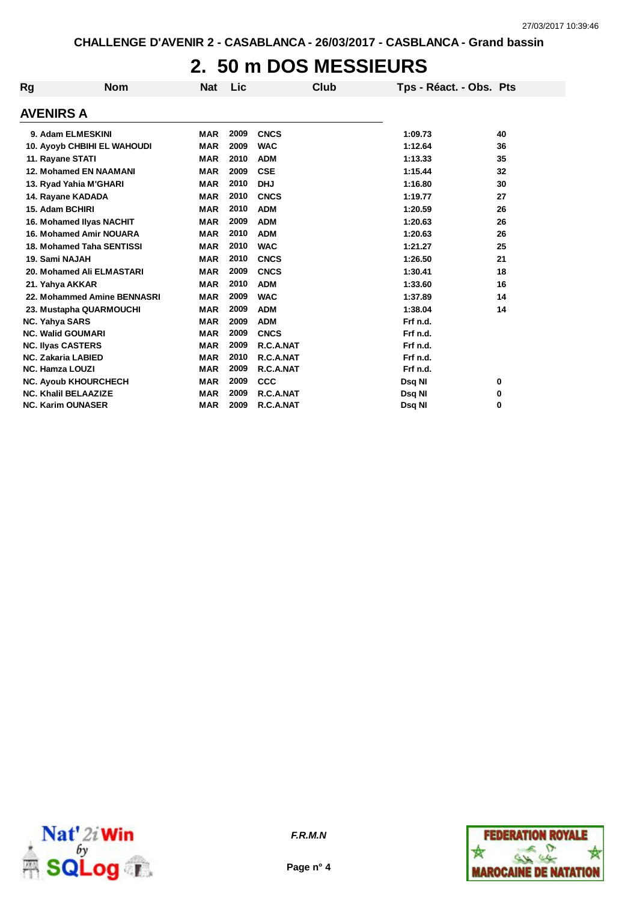## **2. 50 m DOS MESSIEURS**

| Rg                       | <b>Nom</b>                         | <b>Nat</b> | Lic  | Club        | Tps - Réact. - Obs. Pts |    |
|--------------------------|------------------------------------|------------|------|-------------|-------------------------|----|
| <b>AVENIRS A</b>         |                                    |            |      |             |                         |    |
|                          | 9. Adam ELMESKINI                  | <b>MAR</b> | 2009 | <b>CNCS</b> | 1:09.73                 | 40 |
|                          | <b>10. Ayoyb CHBIHI EL WAHOUDI</b> | <b>MAR</b> | 2009 | <b>WAC</b>  | 1:12.64                 | 36 |
| 11. Rayane STATI         |                                    | <b>MAR</b> | 2010 | <b>ADM</b>  | 1:13.33                 | 35 |
|                          | <b>12. Mohamed EN NAAMANI</b>      | <b>MAR</b> | 2009 | <b>CSE</b>  | 1:15.44                 | 32 |
|                          | 13. Ryad Yahia M'GHARI             | <b>MAR</b> | 2010 | <b>DHJ</b>  | 1:16.80                 | 30 |
|                          | 14. Rayane KADADA                  | <b>MAR</b> | 2010 | <b>CNCS</b> | 1:19.77                 | 27 |
| 15. Adam BCHIRI          |                                    | <b>MAR</b> | 2010 | <b>ADM</b>  | 1:20.59                 | 26 |
|                          | 16. Mohamed Ilyas NACHIT           | <b>MAR</b> | 2009 | <b>ADM</b>  | 1:20.63                 | 26 |
|                          | <b>16. Mohamed Amir NOUARA</b>     | <b>MAR</b> | 2010 | <b>ADM</b>  | 1:20.63                 | 26 |
|                          | 18. Mohamed Taha SENTISSI          | <b>MAR</b> | 2010 | <b>WAC</b>  | 1:21.27                 | 25 |
| 19. Sami NAJAH           |                                    | <b>MAR</b> | 2010 | <b>CNCS</b> | 1:26.50                 | 21 |
|                          | 20. Mohamed Ali ELMASTARI          | <b>MAR</b> | 2009 | <b>CNCS</b> | 1:30.41                 | 18 |
| 21. Yahya AKKAR          |                                    | <b>MAR</b> | 2010 | <b>ADM</b>  | 1:33.60                 | 16 |
|                          | 22. Mohammed Amine BENNASRI        | <b>MAR</b> | 2009 | <b>WAC</b>  | 1:37.89                 | 14 |
|                          | 23. Mustapha QUARMOUCHI            | <b>MAR</b> | 2009 | <b>ADM</b>  | 1:38.04                 | 14 |
| <b>NC. Yahya SARS</b>    |                                    | <b>MAR</b> | 2009 | <b>ADM</b>  | Frf n.d.                |    |
|                          | <b>NC. Walid GOUMARI</b>           | <b>MAR</b> | 2009 | <b>CNCS</b> | Frf n.d.                |    |
| <b>NC. Ilyas CASTERS</b> |                                    | <b>MAR</b> | 2009 | R.C.A.NAT   | Frf n.d.                |    |
|                          | <b>NC. Zakaria LABIED</b>          | <b>MAR</b> | 2010 | R.C.A.NAT   | Frf n.d.                |    |
| <b>NC. Hamza LOUZI</b>   |                                    | <b>MAR</b> | 2009 | R.C.A.NAT   | Frf n.d.                |    |
|                          | <b>NC. Ayoub KHOURCHECH</b>        | <b>MAR</b> | 2009 | <b>CCC</b>  | Dsq NI                  | 0  |
|                          | <b>NC. Khalil BELAAZIZE</b>        | <b>MAR</b> | 2009 | R.C.A.NAT   | Dsq NI                  | 0  |
|                          | <b>NC. Karim OUNASER</b>           | <b>MAR</b> | 2009 | R.C.A.NAT   | Dsg NI                  | 0  |



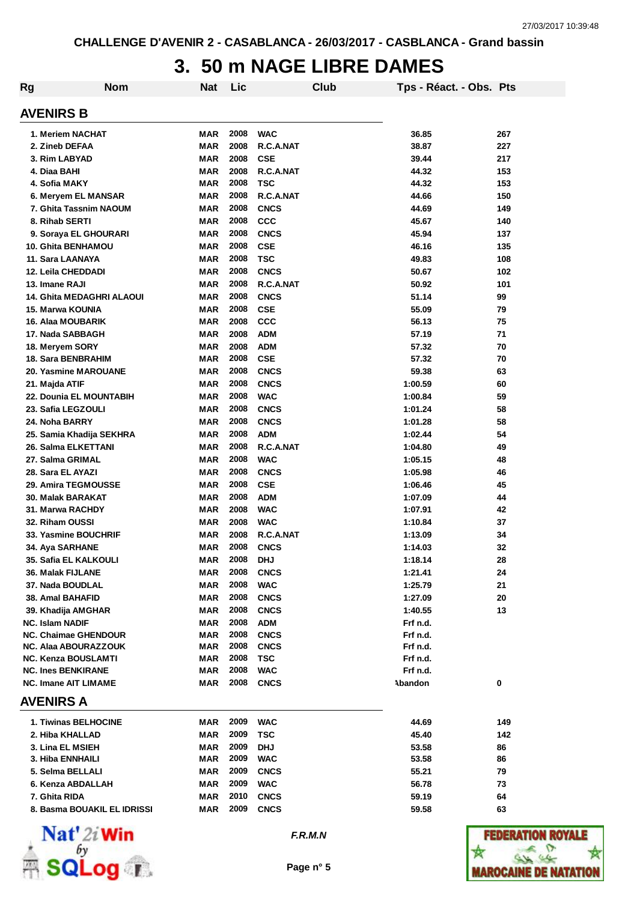### **3. 50 m NAGE LIBRE DAMES**

| Rg                     | <b>Nom</b>                       | Nat        | Lic  |             | Club | Tps - Réact. - Obs. Pts |     |
|------------------------|----------------------------------|------------|------|-------------|------|-------------------------|-----|
| <b>AVENIRS B</b>       |                                  |            |      |             |      |                         |     |
|                        | 1. Meriem NACHAT                 | <b>MAR</b> | 2008 | <b>WAC</b>  |      | 36.85                   | 267 |
|                        | 2. Zineb DEFAA                   | <b>MAR</b> | 2008 | R.C.A.NAT   |      | 38.87                   | 227 |
|                        | 3. Rim LABYAD                    | <b>MAR</b> | 2008 | <b>CSE</b>  |      | 39.44                   | 217 |
| 4. Diaa BAHI           |                                  | <b>MAR</b> | 2008 | R.C.A.NAT   |      | 44.32                   | 153 |
|                        | 4. Sofia MAKY                    | <b>MAR</b> | 2008 | <b>TSC</b>  |      | 44.32                   | 153 |
|                        | 6. Meryem EL MANSAR              | <b>MAR</b> | 2008 | R.C.A.NAT   |      | 44.66                   | 150 |
|                        | 7. Ghita Tassnim NAOUM           | <b>MAR</b> | 2008 | <b>CNCS</b> |      | 44.69                   | 149 |
|                        | 8. Rihab SERTI                   | MAR        | 2008 | CCC         |      | 45.67                   | 140 |
|                        | 9. Soraya EL GHOURARI            | <b>MAR</b> | 2008 | <b>CNCS</b> |      | 45.94                   | 137 |
|                        | 10. Ghita BENHAMOU               | <b>MAR</b> | 2008 | <b>CSE</b>  |      | 46.16                   | 135 |
|                        | 11. Sara LAANAYA                 | <b>MAR</b> | 2008 | <b>TSC</b>  |      | 49.83                   | 108 |
|                        | 12. Leila CHEDDADI               | <b>MAR</b> | 2008 | <b>CNCS</b> |      | 50.67                   | 102 |
| 13. Imane RAJI         |                                  | <b>MAR</b> | 2008 | R.C.A.NAT   |      | 50.92                   | 101 |
|                        | <b>14. Ghita MEDAGHRI ALAOUI</b> | <b>MAR</b> | 2008 | <b>CNCS</b> |      | 51.14                   | 99  |
|                        | 15. Marwa KOUNIA                 | <b>MAR</b> | 2008 | <b>CSE</b>  |      | 55.09                   | 79  |
|                        | <b>16. Alaa MOUBARIK</b>         | <b>MAR</b> | 2008 | CCC         |      | 56.13                   | 75  |
|                        | 17. Nada SABBAGH                 | <b>MAR</b> | 2008 | <b>ADM</b>  |      | 57.19                   | 71  |
|                        | 18. Meryem SORY                  | <b>MAR</b> | 2008 | <b>ADM</b>  |      | 57.32                   | 70  |
|                        | 18. Sara BENBRAHIM               | <b>MAR</b> | 2008 | <b>CSE</b>  |      | 57.32                   | 70  |
|                        | <b>20. Yasmine MAROUANE</b>      | <b>MAR</b> | 2008 | <b>CNCS</b> |      | 59.38                   | 63  |
| 21. Majda ATIF         |                                  | <b>MAR</b> | 2008 | <b>CNCS</b> |      | 1:00.59                 | 60  |
|                        | 22. Dounia EL MOUNTABIH          | <b>MAR</b> | 2008 | <b>WAC</b>  |      | 1:00.84                 | 59  |
|                        | 23. Safia LEGZOULI               | <b>MAR</b> | 2008 | <b>CNCS</b> |      | 1:01.24                 | 58  |
|                        | 24. Noha BARRY                   | MAR        | 2008 | <b>CNCS</b> |      | 1:01.28                 | 58  |
|                        | 25. Samia Khadija SEKHRA         | MAR        | 2008 | <b>ADM</b>  |      | 1:02.44                 | 54  |
|                        | 26. Salma ELKETTANI              | <b>MAR</b> | 2008 | R.C.A.NAT   |      | 1:04.80                 | 49  |
|                        | 27. Salma GRIMAL                 | <b>MAR</b> | 2008 | <b>WAC</b>  |      | 1:05.15                 | 48  |
|                        | 28. Sara EL AYAZI                | <b>MAR</b> | 2008 | <b>CNCS</b> |      | 1:05.98                 | 46  |
|                        | 29. Amira TEGMOUSSE              | MAR        | 2008 | <b>CSE</b>  |      | 1:06.46                 | 45  |
|                        | 30. Malak BARAKAT                | MAR        | 2008 | <b>ADM</b>  |      | 1:07.09                 | 44  |
|                        | 31. Marwa RACHDY                 | MAR        | 2008 | <b>WAC</b>  |      | 1:07.91                 | 42  |
|                        | 32. Riham OUSSI                  | MAR        | 2008 | <b>WAC</b>  |      | 1:10.84                 | 37  |
|                        | 33. Yasmine BOUCHRIF             | MAR        | 2008 | R.C.A.NAT   |      | 1:13.09                 | 34  |
|                        | 34. Aya SARHANE                  | <b>MAR</b> | 2008 | <b>CNCS</b> |      | 1:14.03                 | 32  |
|                        | 35. Safia EL KALKOULI            | MAR        | 2008 | <b>DHJ</b>  |      | 1:18.14                 | 28  |
|                        | 36. Malak FIJLANE                | <b>MAR</b> | 2008 | <b>CNCS</b> |      | 1:21.41                 | 24  |
|                        | 37. Nada BOUDLAL                 | MAR        | 2008 | <b>WAC</b>  |      | 1:25.79                 | 21  |
|                        | 38. Amal BAHAFID                 | MAR        | 2008 | <b>CNCS</b> |      | 1:27.09                 | 20  |
|                        | 39. Khadija AMGHAR               | MAR        | 2008 | <b>CNCS</b> |      | 1:40.55                 | 13  |
| <b>NC. Islam NADIF</b> |                                  | MAR        | 2008 | <b>ADM</b>  |      | Frf n.d.                |     |
|                        | <b>NC. Chaimae GHENDOUR</b>      | MAR        | 2008 | <b>CNCS</b> |      | Frf n.d.                |     |
|                        | <b>NC. Alaa ABOURAZZOUK</b>      | MAR        | 2008 | <b>CNCS</b> |      | Frf n.d.                |     |
|                        | NC. Kenza BOUSLAMTI              | MAR        | 2008 | TSC         |      | Frf n.d.                |     |
|                        | <b>NC. Ines BENKIRANE</b>        | MAR        | 2008 | <b>WAC</b>  |      | Frf n.d.                |     |
|                        | <b>NC. Imane AIT LIMAME</b>      | MAR        | 2008 | <b>CNCS</b> |      | Abandon                 | 0   |
| <b>AVENIRS A</b>       |                                  |            |      |             |      |                         |     |
|                        | 1. Tiwinas BELHOCINE             | MAR        | 2009 | <b>WAC</b>  |      | 44.69                   | 149 |
|                        | 2. Hiba KHALLAD                  | MAR        | 2009 | TSC         |      | 45.40                   | 142 |
|                        | 3. Lina EL MSIEH                 | MAR        | 2009 | <b>DHJ</b>  |      | 53.58                   | 86  |
|                        | 3. Hiba ENNHAILI                 | MAR        | 2009 | <b>WAC</b>  |      | 53.58                   | 86  |
|                        | 5. Selma BELLALI                 | MAR        | 2009 | <b>CNCS</b> |      | 55.21                   | 79  |
|                        | 6. Kenza ABDALLAH                | MAR        | 2009 | <b>WAC</b>  |      | 56.78                   | 73  |
| 7. Ghita RIDA          |                                  | MAR        | 2010 | <b>CNCS</b> |      | 59.19                   | 64  |
|                        | 8. Basma BOUAKIL EL IDRISSI      | MAR        | 2009 | <b>CNCS</b> |      | 59.58                   | 63  |
|                        |                                  |            |      |             |      |                         |     |



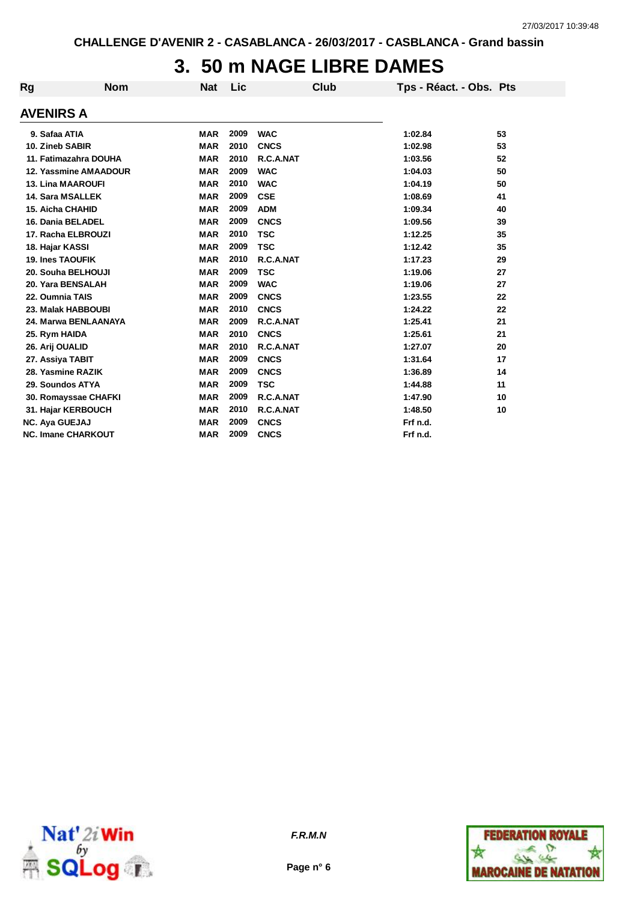## **3. 50 m NAGE LIBRE DAMES**

| Rg                      | <b>Nom</b>                | <b>Nat</b> | Lic  | <b>Club</b> | Tps - Réact. - Obs. Pts |    |
|-------------------------|---------------------------|------------|------|-------------|-------------------------|----|
| AVENIRS A               |                           |            |      |             |                         |    |
| 9. Safaa ATIA           |                           | <b>MAR</b> | 2009 | <b>WAC</b>  | 1:02.84                 | 53 |
| 10. Zineb SABIR         |                           | <b>MAR</b> | 2010 | <b>CNCS</b> | 1:02.98                 | 53 |
|                         | 11. Fatimazahra DOUHA     | <b>MAR</b> | 2010 | R.C.A.NAT   | 1:03.56                 | 52 |
|                         | 12. Yassmine AMAADOUR     | <b>MAR</b> | 2009 | <b>WAC</b>  | 1:04.03                 | 50 |
|                         | <b>13. Lina MAAROUFI</b>  | <b>MAR</b> | 2010 | <b>WAC</b>  | 1:04.19                 | 50 |
| 14. Sara MSALLEK        |                           | <b>MAR</b> | 2009 | <b>CSE</b>  | 1:08.69                 | 41 |
| <b>15. Aicha CHAHID</b> |                           | <b>MAR</b> | 2009 | <b>ADM</b>  | 1:09.34                 | 40 |
|                         | 16. Dania BELADEL         | <b>MAR</b> | 2009 | <b>CNCS</b> | 1:09.56                 | 39 |
|                         | 17. Racha ELBROUZI        | <b>MAR</b> | 2010 | <b>TSC</b>  | 1:12.25                 | 35 |
| 18. Hajar KASSI         |                           | <b>MAR</b> | 2009 | <b>TSC</b>  | 1:12.42                 | 35 |
| <b>19. Ines TAOUFIK</b> |                           | <b>MAR</b> | 2010 | R.C.A.NAT   | 1:17.23                 | 29 |
|                         | 20. Souha BELHOUJI        | <b>MAR</b> | 2009 | <b>TSC</b>  | 1:19.06                 | 27 |
|                         | 20. Yara BENSALAH         | <b>MAR</b> | 2009 | <b>WAC</b>  | 1:19.06                 | 27 |
| 22. Oumnia TAIS         |                           | <b>MAR</b> | 2009 | <b>CNCS</b> | 1:23.55                 | 22 |
|                         | 23. Malak HABBOUBI        | <b>MAR</b> | 2010 | <b>CNCS</b> | 1:24.22                 | 22 |
|                         | 24. Marwa BENLAANAYA      | <b>MAR</b> | 2009 | R.C.A.NAT   | 1:25.41                 | 21 |
| 25. Rym HAIDA           |                           | <b>MAR</b> | 2010 | <b>CNCS</b> | 1:25.61                 | 21 |
| 26. Arij OUALID         |                           | <b>MAR</b> | 2010 | R.C.A.NAT   | 1:27.07                 | 20 |
| 27. Assiya TABIT        |                           | <b>MAR</b> | 2009 | <b>CNCS</b> | 1:31.64                 | 17 |
| 28. Yasmine RAZIK       |                           | <b>MAR</b> | 2009 | <b>CNCS</b> | 1:36.89                 | 14 |
| 29. Soundos ATYA        |                           | <b>MAR</b> | 2009 | <b>TSC</b>  | 1:44.88                 | 11 |
|                         | 30. Romayssae CHAFKI      | <b>MAR</b> | 2009 | R.C.A.NAT   | 1:47.90                 | 10 |
|                         | 31. Hajar KERBOUCH        | <b>MAR</b> | 2010 | R.C.A.NAT   | 1:48.50                 | 10 |
| <b>NC. Aya GUEJAJ</b>   |                           | <b>MAR</b> | 2009 | <b>CNCS</b> | Frf n.d.                |    |
|                         | <b>NC. Imane CHARKOUT</b> | <b>MAR</b> | 2009 | <b>CNCS</b> | Frf n.d.                |    |





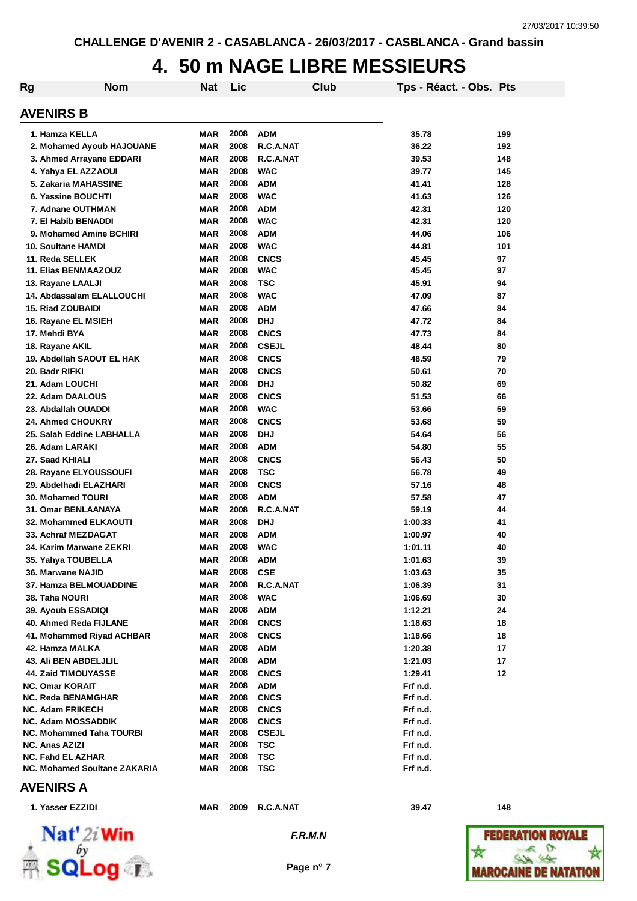# **4. 50 m NAGE LIBRE MESSIEURS**

| Rg | <b>Nom</b>                                               | <b>Nat</b> | Lic          |                            | Club | Tps - Réact. - Obs. Pts |     |
|----|----------------------------------------------------------|------------|--------------|----------------------------|------|-------------------------|-----|
|    | <b>AVENIRS B</b>                                         |            |              |                            |      |                         |     |
|    | 1. Hamza KELLA                                           | <b>MAR</b> | 2008         | <b>ADM</b>                 |      | 35.78                   | 199 |
|    | 2. Mohamed Ayoub HAJOUANE                                | <b>MAR</b> | 2008         | R.C.A.NAT                  |      | 36.22                   | 192 |
|    | 3. Ahmed Arrayane EDDARI                                 | <b>MAR</b> | 2008         | R.C.A.NAT                  |      | 39.53                   | 148 |
|    | 4. Yahya EL AZZAOUI                                      | <b>MAR</b> | 2008         | <b>WAC</b>                 |      | 39.77                   | 145 |
|    | 5. Zakaria MAHASSINE                                     | <b>MAR</b> | 2008         | <b>ADM</b>                 |      | 41.41                   | 128 |
|    | 6. Yassine BOUCHTI                                       | <b>MAR</b> | 2008         | <b>WAC</b>                 |      | 41.63                   | 126 |
|    | 7. Adnane OUTHMAN                                        | <b>MAR</b> | 2008         | <b>ADM</b>                 |      | 42.31                   | 120 |
|    | 7. El Habib BENADDI                                      | <b>MAR</b> | 2008         | <b>WAC</b>                 |      | 42.31                   | 120 |
|    | 9. Mohamed Amine BCHIRI                                  | <b>MAR</b> | 2008         | <b>ADM</b>                 |      | 44.06                   | 106 |
|    | 10. Soultane HAMDI                                       | <b>MAR</b> | 2008         | <b>WAC</b>                 |      | 44.81                   | 101 |
|    | 11. Reda SELLEK                                          | <b>MAR</b> | 2008         | <b>CNCS</b>                |      | 45.45                   | 97  |
|    | 11. Elias BENMAAZOUZ                                     | MAR        | 2008         | <b>WAC</b>                 |      | 45.45                   | 97  |
|    | 13. Rayane LAALJI                                        | <b>MAR</b> | 2008         | <b>TSC</b>                 |      | 45.91                   | 94  |
|    | 14. Abdassalam ELALLOUCHI                                | <b>MAR</b> | 2008         | <b>WAC</b>                 |      | 47.09                   | 87  |
|    | <b>15. Riad ZOUBAIDI</b>                                 | <b>MAR</b> | 2008         | <b>ADM</b>                 |      | 47.66                   | 84  |
|    | 16. Rayane EL MSIEH                                      | MAR        | 2008         | <b>DHJ</b>                 |      | 47.72                   | 84  |
|    | 17. Mehdi BYA                                            | MAR        | 2008         | <b>CNCS</b>                |      | 47.73                   | 84  |
|    | 18. Rayane AKIL                                          | MAR        | 2008         | <b>CSEJL</b>               |      | 48.44                   | 80  |
|    | 19. Abdellah SAOUT EL HAK                                | MAR        | 2008         | <b>CNCS</b>                |      | 48.59                   | 79  |
|    | 20. Badr RIFKI                                           | <b>MAR</b> | 2008         | <b>CNCS</b>                |      | 50.61                   | 70  |
|    | 21. Adam LOUCHI                                          | MAR        | 2008         | <b>DHJ</b>                 |      | 50.82                   | 69  |
|    | 22. Adam DAALOUS                                         | MAR        | 2008         | <b>CNCS</b>                |      | 51.53                   | 66  |
|    | 23. Abdallah OUADDI                                      | <b>MAR</b> | 2008         | <b>WAC</b>                 |      | 53.66                   | 59  |
|    | 24. Ahmed CHOUKRY                                        | <b>MAR</b> | 2008         | <b>CNCS</b>                |      | 53.68                   | 59  |
|    | 25. Salah Eddine LABHALLA                                | <b>MAR</b> | 2008         | <b>DHJ</b>                 |      | 54.64                   | 56  |
|    | 26. Adam LARAKI                                          | <b>MAR</b> | 2008         | <b>ADM</b>                 |      | 54.80                   | 55  |
|    | 27. Saad KHIALI                                          | <b>MAR</b> | 2008         | <b>CNCS</b>                |      | 56.43                   | 50  |
|    | 28. Rayane ELYOUSSOUFI                                   | <b>MAR</b> | 2008         | <b>TSC</b>                 |      | 56.78                   | 49  |
|    | 29. Abdelhadi ELAZHARI                                   | MAR        | 2008         | <b>CNCS</b>                |      | 57.16                   | 48  |
|    | <b>30. Mohamed TOURI</b>                                 | <b>MAR</b> | 2008         | <b>ADM</b>                 |      | 57.58                   | 47  |
|    | 31. Omar BENLAANAYA                                      | <b>MAR</b> | 2008         | R.C.A.NAT                  |      | 59.19                   | 44  |
|    | 32. Mohammed ELKAOUTI                                    | <b>MAR</b> | 2008         | <b>DHJ</b>                 |      | 1:00.33                 | 41  |
|    | 33. Achraf MEZDAGAT                                      | MAR        | 2008         | <b>ADM</b>                 |      | 1:00.97                 | 40  |
|    | 34. Karim Marwane ZEKRI                                  | MAR        | 2008         | <b>WAC</b>                 |      | 1:01.11                 | 40  |
|    | 35. Yahya TOUBELLA                                       | MAR        | 2008         | <b>ADM</b>                 |      | 1:01.63                 | 39  |
|    | 36. Marwane NAJID                                        | MAR        | 2008         | <b>CSE</b>                 |      | 1:03.63                 | 35  |
|    | 37. Hamza BELMOUADDINE                                   | MAR        | 2008         | R.C.A.NAT                  |      | 1:06.39                 | 31  |
|    | 38. Taha NOURI                                           | <b>MAR</b> | 2008         | <b>WAC</b>                 |      | 1:06.69                 | 30  |
|    | 39. Ayoub ESSADIQI                                       | <b>MAR</b> | 2008         | <b>ADM</b>                 |      | 1:12.21                 | 24  |
|    | 40. Ahmed Reda FIJLANE                                   | MAR        | 2008         | <b>CNCS</b>                |      | 1:18.63                 | 18  |
|    | 41. Mohammed Riyad ACHBAR                                | MAR        | 2008         | <b>CNCS</b>                |      | 1:18.66                 | 18  |
|    | 42. Hamza MALKA                                          | MAR        | 2008         | ADM                        |      | 1:20.38                 | 17  |
|    | 43. Ali BEN ABDELJLIL                                    | MAR        | 2008         | <b>ADM</b>                 |      | 1:21.03                 | 17  |
|    | 44. Zaid TIMOUYASSE                                      | MAR        | 2008         | <b>CNCS</b>                |      | 1:29.41                 | 12  |
|    | <b>NC. Omar KORAIT</b>                                   | MAR        | 2008         | <b>ADM</b>                 |      | Frf n.d.                |     |
|    | NC. Reda BENAMGHAR                                       | MAR        | 2008         | <b>CNCS</b>                |      | Frf n.d.                |     |
|    | <b>NC. Adam FRIKECH</b>                                  | MAR        | 2008         | <b>CNCS</b>                |      | Frf n.d.                |     |
|    | <b>NC. Adam MOSSADDIK</b>                                | MAR        | 2008<br>2008 | <b>CNCS</b>                |      | Frf n.d.                |     |
|    | <b>NC. Mohammed Taha TOURBI</b><br><b>NC. Anas AZIZI</b> | MAR<br>MAR | 2008         | <b>CSEJL</b><br><b>TSC</b> |      | Frf n.d.<br>Frf n.d.    |     |
|    | <b>NC. Fahd EL AZHAR</b>                                 | MAR        | 2008         | <b>TSC</b>                 |      | Frf n.d.                |     |
|    | <b>NC. Mohamed Soultane ZAKARIA</b>                      | MAR        | 2008         | TSC                        |      | Frf n.d.                |     |
|    |                                                          |            |              |                            |      |                         |     |

#### **AVENIRS A**

| Nat' 2i Win        |  |
|--------------------|--|
|                    |  |
| <b>Exact SQLog</b> |  |

**1. Yasser EZZIDI MAR 2009 R.C.A.NAT 39.47 148**

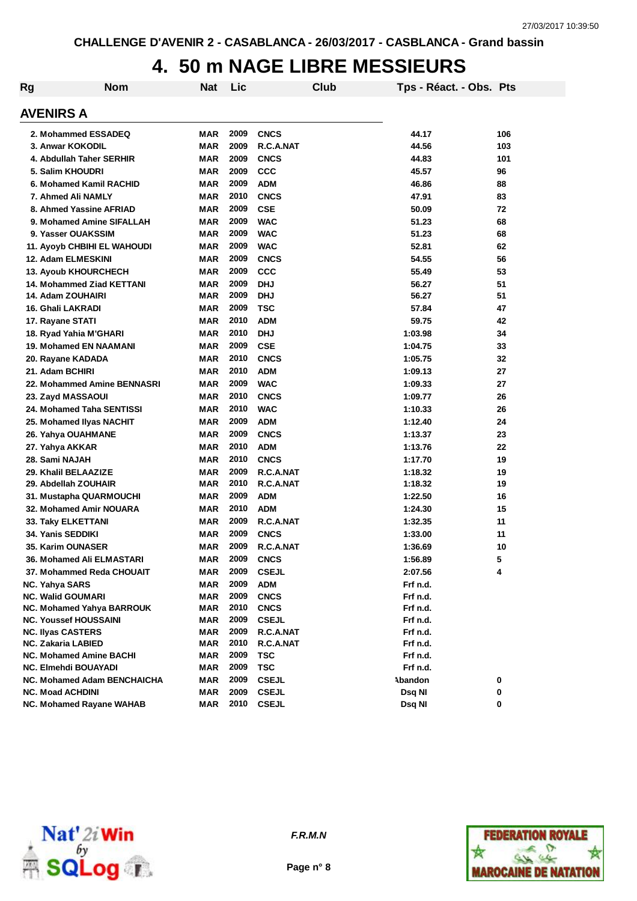### **4. 50 m NAGE LIBRE MESSIEURS**

| Rg | <b>Nom</b>                       | <b>Nat</b> | Lic  |              | Club |          | Tps - Réact. - Obs. Pts |     |
|----|----------------------------------|------------|------|--------------|------|----------|-------------------------|-----|
|    | <b>AVENIRS A</b>                 |            |      |              |      |          |                         |     |
|    | 2. Mohammed ESSADEQ              | <b>MAR</b> | 2009 | <b>CNCS</b>  |      | 44.17    |                         | 106 |
|    | 3. Anwar KOKODIL                 | <b>MAR</b> | 2009 | R.C.A.NAT    |      | 44.56    |                         | 103 |
|    | 4. Abdullah Taher SERHIR         | <b>MAR</b> | 2009 | <b>CNCS</b>  |      | 44.83    |                         | 101 |
|    | 5. Salim KHOUDRI                 | <b>MAR</b> | 2009 | <b>CCC</b>   |      | 45.57    |                         | 96  |
|    | 6. Mohamed Kamil RACHID          | <b>MAR</b> | 2009 | <b>ADM</b>   |      | 46.86    |                         | 88  |
|    | 7. Ahmed Ali NAMLY               | <b>MAR</b> | 2010 | <b>CNCS</b>  |      | 47.91    |                         | 83  |
|    | 8. Ahmed Yassine AFRIAD          | <b>MAR</b> | 2009 | <b>CSE</b>   |      | 50.09    |                         | 72  |
|    | 9. Mohamed Amine SIFALLAH        | <b>MAR</b> | 2009 | <b>WAC</b>   |      | 51.23    |                         | 68  |
|    | 9. Yasser OUAKSSIM               | <b>MAR</b> | 2009 | <b>WAC</b>   |      | 51.23    |                         | 68  |
|    | 11. Ayoyb CHBIHI EL WAHOUDI      | <b>MAR</b> | 2009 | <b>WAC</b>   |      | 52.81    |                         | 62  |
|    | 12. Adam ELMESKINI               | <b>MAR</b> | 2009 | <b>CNCS</b>  |      | 54.55    |                         | 56  |
|    | 13. Ayoub KHOURCHECH             | <b>MAR</b> | 2009 | CCC          |      | 55.49    |                         | 53  |
|    | <b>14. Mohammed Ziad KETTANI</b> | <b>MAR</b> | 2009 | <b>DHJ</b>   |      | 56.27    |                         | 51  |
|    | 14. Adam ZOUHAIRI                | <b>MAR</b> | 2009 | <b>DHJ</b>   |      | 56.27    |                         | 51  |
|    | <b>16. Ghali LAKRADI</b>         | <b>MAR</b> | 2009 | <b>TSC</b>   |      | 57.84    |                         | 47  |
|    | 17. Rayane STATI                 | <b>MAR</b> | 2010 | <b>ADM</b>   |      | 59.75    |                         | 42  |
|    | 18. Ryad Yahia M'GHARI           | <b>MAR</b> | 2010 | <b>DHJ</b>   |      | 1:03.98  |                         | 34  |
|    | <b>19. Mohamed EN NAAMANI</b>    | MAR        | 2009 | <b>CSE</b>   |      | 1:04.75  |                         | 33  |
|    | 20. Rayane KADADA                | MAR        | 2010 | <b>CNCS</b>  |      | 1:05.75  |                         | 32  |
|    | 21. Adam BCHIRI                  | MAR        | 2010 | <b>ADM</b>   |      | 1:09.13  |                         | 27  |
|    | 22. Mohammed Amine BENNASRI      | MAR        | 2009 | <b>WAC</b>   |      | 1:09.33  |                         | 27  |
|    | 23. Zayd MASSAOUI                | MAR        | 2010 | <b>CNCS</b>  |      | 1:09.77  |                         | 26  |
|    | 24. Mohamed Taha SENTISSI        | <b>MAR</b> | 2010 | <b>WAC</b>   |      | 1:10.33  |                         | 26  |
|    | 25. Mohamed Ilyas NACHIT         | MAR        | 2009 | <b>ADM</b>   |      | 1:12.40  |                         | 24  |
|    | 26. Yahya OUAHMANE               | <b>MAR</b> | 2009 | <b>CNCS</b>  |      | 1:13.37  |                         | 23  |
|    | 27. Yahya AKKAR                  | <b>MAR</b> | 2010 | <b>ADM</b>   |      | 1:13.76  |                         | 22  |
|    | 28. Sami NAJAH                   | <b>MAR</b> | 2010 | <b>CNCS</b>  |      | 1:17.70  |                         | 19  |
|    | 29. Khalil BELAAZIZE             | <b>MAR</b> | 2009 | R.C.A.NAT    |      | 1:18.32  |                         | 19  |
|    | 29. Abdellah ZOUHAIR             | MAR        | 2010 | R.C.A.NAT    |      | 1:18.32  |                         | 19  |
|    | 31. Mustapha QUARMOUCHI          | <b>MAR</b> | 2009 | <b>ADM</b>   |      | 1:22.50  |                         | 16  |
|    | 32. Mohamed Amir NOUARA          | <b>MAR</b> | 2010 | <b>ADM</b>   |      | 1:24.30  |                         | 15  |
|    | 33. Taky ELKETTANI               | <b>MAR</b> | 2009 | R.C.A.NAT    |      | 1:32.35  |                         | 11  |
|    | 34. Yanis SEDDIKI                | MAR        | 2009 | <b>CNCS</b>  |      | 1:33.00  |                         | 11  |
|    | 35. Karim OUNASER                | <b>MAR</b> | 2009 | R.C.A.NAT    |      | 1:36.69  |                         | 10  |
|    | 36. Mohamed Ali ELMASTARI        | MAR        | 2009 | <b>CNCS</b>  |      | 1:56.89  |                         | 5   |
|    | 37. Mohammed Reda CHOUAIT        | MAR        | 2009 | <b>CSEJL</b> |      | 2:07.56  |                         | 4   |
|    | <b>NC. Yahya SARS</b>            | <b>MAR</b> | 2009 | <b>ADM</b>   |      | Frf n.d. |                         |     |
|    | <b>NC. Walid GOUMARI</b>         | MAR        | 2009 | <b>CNCS</b>  |      | Frf n.d. |                         |     |
|    | NC. Mohamed Yahya BARROUK        | MAR        | 2010 | <b>CNCS</b>  |      | Frf n.d. |                         |     |
|    | <b>NC. Youssef HOUSSAINI</b>     | <b>MAR</b> | 2009 | <b>CSEJL</b> |      | Frf n.d. |                         |     |
|    | <b>NC. Ilyas CASTERS</b>         | MAR        | 2009 | R.C.A.NAT    |      | Frf n.d. |                         |     |
|    | <b>NC. Zakaria LABIED</b>        | MAR        | 2010 | R.C.A.NAT    |      | Frf n.d. |                         |     |
|    | <b>NC. Mohamed Amine BACHI</b>   | <b>MAR</b> | 2009 | <b>TSC</b>   |      | Frf n.d. |                         |     |
|    | <b>NC. Elmehdi BOUAYADI</b>      | MAR        | 2009 | <b>TSC</b>   |      | Frf n.d. |                         |     |
|    | NC. Mohamed Adam BENCHAICHA      | MAR        | 2009 | <b>CSEJL</b> |      | Abandon  |                         | 0   |
|    | <b>NC. Moad ACHDINI</b>          | <b>MAR</b> | 2009 | <b>CSEJL</b> |      | Dsq NI   |                         | 0   |
|    | NC. Mohamed Rayane WAHAB         | MAR        | 2010 | <b>CSEJL</b> |      | Dsq NI   |                         | 0   |



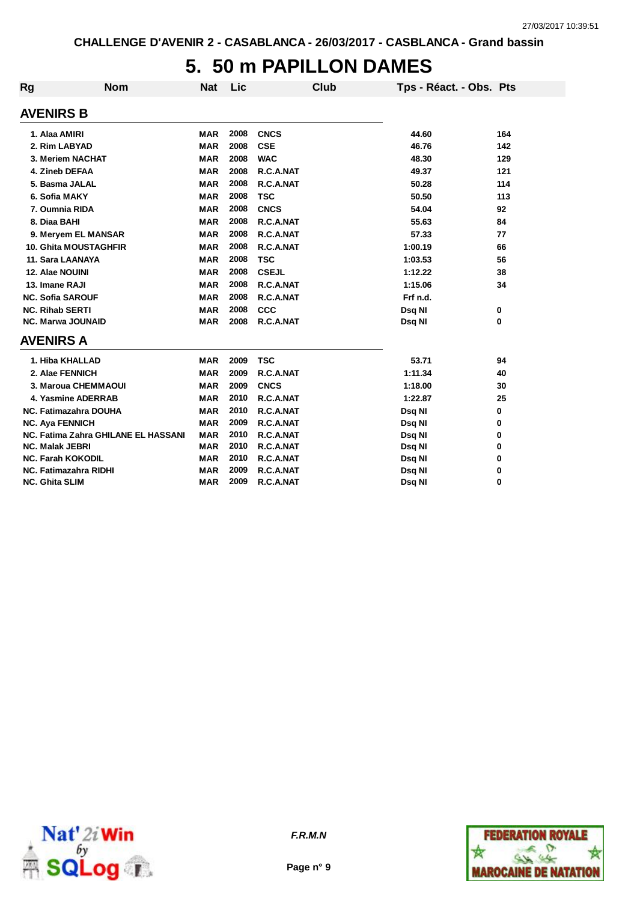### **5. 50 m PAPILLON DAMES**

| <b>Rg</b> | <b>Nom</b>                          | <b>Nat</b> | Lic  |              | <b>Club</b> | Tps - Réact. - Obs. Pts |     |
|-----------|-------------------------------------|------------|------|--------------|-------------|-------------------------|-----|
|           | <b>AVENIRS B</b>                    |            |      |              |             |                         |     |
|           | 1. Alaa AMIRI                       | <b>MAR</b> | 2008 | <b>CNCS</b>  |             | 44.60                   | 164 |
|           | 2. Rim LABYAD                       | <b>MAR</b> | 2008 | <b>CSE</b>   |             | 46.76                   | 142 |
|           | 3. Meriem NACHAT                    | <b>MAR</b> | 2008 | <b>WAC</b>   |             | 48.30                   | 129 |
|           | 4. Zineb DEFAA                      | <b>MAR</b> | 2008 | R.C.A.NAT    |             | 49.37                   | 121 |
|           | 5. Basma JALAL                      | <b>MAR</b> | 2008 | R.C.A.NAT    |             | 50.28                   | 114 |
|           | 6. Sofia MAKY                       | <b>MAR</b> | 2008 | <b>TSC</b>   |             | 50.50                   | 113 |
|           | 7. Oumnia RIDA                      | <b>MAR</b> | 2008 | <b>CNCS</b>  |             | 54.04                   | 92  |
|           | 8. Diaa BAHI                        | <b>MAR</b> | 2008 | R.C.A.NAT    |             | 55.63                   | 84  |
|           | 9. Meryem EL MANSAR                 | <b>MAR</b> | 2008 | R.C.A.NAT    |             | 57.33                   | 77  |
|           | <b>10. Ghita MOUSTAGHFIR</b>        | <b>MAR</b> | 2008 | R.C.A.NAT    |             | 1:00.19                 | 66  |
|           | 11. Sara LAANAYA                    | <b>MAR</b> | 2008 | <b>TSC</b>   |             | 1:03.53                 | 56  |
|           | 12. Alae NOUINI                     | <b>MAR</b> | 2008 | <b>CSEJL</b> |             | 1:12.22                 | 38  |
|           | 13. Imane RAJI                      | <b>MAR</b> | 2008 | R.C.A.NAT    |             | 1:15.06                 | 34  |
|           | <b>NC. Sofia SAROUF</b>             | <b>MAR</b> | 2008 | R.C.A.NAT    |             | Frf n.d.                |     |
|           | <b>NC. Rihab SERTI</b>              | <b>MAR</b> | 2008 | CCC          |             | Dsq NI                  | 0   |
|           | <b>NC. Marwa JOUNAID</b>            | <b>MAR</b> | 2008 | R.C.A.NAT    |             | Dsq NI                  | 0   |
|           | <b>AVENIRS A</b>                    |            |      |              |             |                         |     |
|           | 1. Hiba KHALLAD                     | <b>MAR</b> | 2009 | <b>TSC</b>   |             | 53.71                   | 94  |
|           | 2. Alae FENNICH                     | <b>MAR</b> | 2009 | R.C.A.NAT    |             | 1:11.34                 | 40  |
|           | 3. Maroua CHEMMAOUI                 | <b>MAR</b> | 2009 | <b>CNCS</b>  |             | 1:18.00                 | 30  |
|           | 4. Yasmine ADERRAB                  | <b>MAR</b> | 2010 | R.C.A.NAT    |             | 1:22.87                 | 25  |
|           | <b>NC. Fatimazahra DOUHA</b>        | <b>MAR</b> | 2010 | R.C.A.NAT    |             | Dsq NI                  | 0   |
|           | <b>NC. Aya FENNICH</b>              | <b>MAR</b> | 2009 | R.C.A.NAT    |             | Dsq NI                  | 0   |
|           | NC. Fatima Zahra GHILANE EL HASSANI | <b>MAR</b> | 2010 | R.C.A.NAT    |             | Dsq NI                  | 0   |
|           | <b>NC. Malak JEBRI</b>              | <b>MAR</b> | 2010 | R.C.A.NAT    |             | Dsq NI                  | 0   |
|           | <b>NC. Farah KOKODIL</b>            | <b>MAR</b> | 2010 | R.C.A.NAT    |             | Dsq NI                  | 0   |
|           | <b>NC. Fatimazahra RIDHI</b>        | <b>MAR</b> | 2009 | R.C.A.NAT    |             | Dsq NI                  | 0   |
|           | <b>NC. Ghita SLIM</b>               | <b>MAR</b> | 2009 | R.C.A.NAT    |             | Dsq NI                  | 0   |



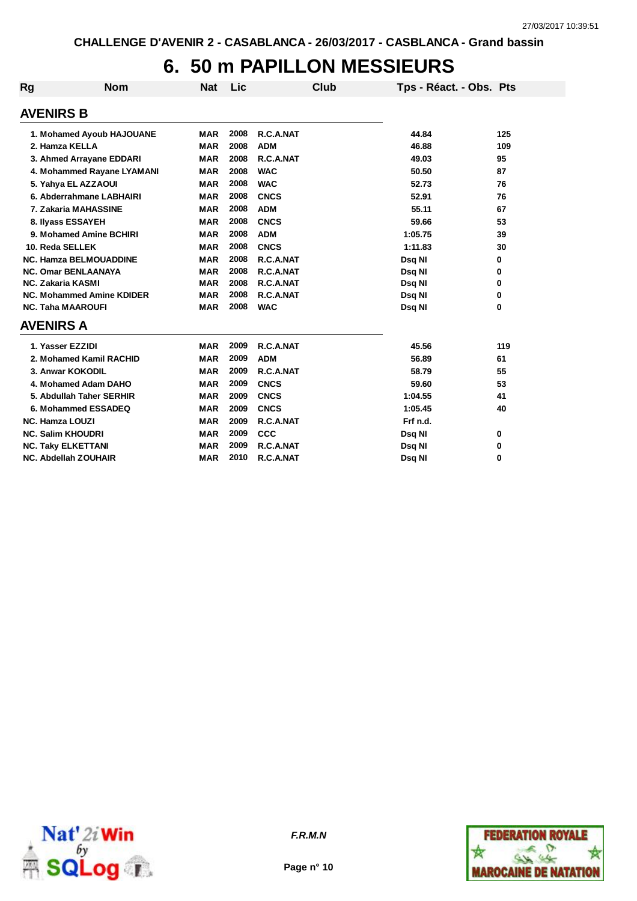## **6. 50 m PAPILLON MESSIEURS**

| Rg                     | <b>Nom</b>                                             | <b>Nat</b> | Lic  | Club                   | Tps - Réact. - Obs. Pts |        |
|------------------------|--------------------------------------------------------|------------|------|------------------------|-------------------------|--------|
| <b>AVENIRS B</b>       |                                                        |            |      |                        |                         |        |
|                        | 1. Mohamed Ayoub HAJOUANE                              | <b>MAR</b> | 2008 | R.C.A.NAT              | 44.84                   | 125    |
|                        | 2. Hamza KELLA                                         | <b>MAR</b> | 2008 | <b>ADM</b>             | 46.88                   | 109    |
|                        | 3. Ahmed Arrayane EDDARI                               | <b>MAR</b> | 2008 | R.C.A.NAT              | 49.03                   | 95     |
|                        | 4. Mohammed Rayane LYAMANI                             | <b>MAR</b> | 2008 | <b>WAC</b>             | 50.50                   | 87     |
|                        | 5. Yahya EL AZZAOUI                                    | <b>MAR</b> | 2008 | <b>WAC</b>             | 52.73                   | 76     |
|                        | 6. Abderrahmane LABHAIRI                               | <b>MAR</b> | 2008 | <b>CNCS</b>            | 52.91                   | 76     |
|                        | 7. Zakaria MAHASSINE                                   | <b>MAR</b> | 2008 | <b>ADM</b>             | 55.11                   | 67     |
|                        | 8. Ilyass ESSAYEH                                      | <b>MAR</b> | 2008 | <b>CNCS</b>            | 59.66                   | 53     |
|                        | 9. Mohamed Amine BCHIRI                                | <b>MAR</b> | 2008 | <b>ADM</b>             | 1:05.75                 | 39     |
|                        | 10. Reda SELLEK                                        | <b>MAR</b> | 2008 | <b>CNCS</b>            |                         |        |
|                        |                                                        | <b>MAR</b> | 2008 |                        | 1:11.83                 | 30     |
|                        | <b>NC. Hamza BELMOUADDINE</b>                          | <b>MAR</b> | 2008 | R.C.A.NAT              | Dsq NI                  | 0      |
|                        | <b>NC. Omar BENLAANAYA</b><br><b>NC. Zakaria KASMI</b> | <b>MAR</b> | 2008 | R.C.A.NAT<br>R.C.A.NAT | Dsq NI                  | 0<br>0 |
|                        | <b>NC. Mohammed Amine KDIDER</b>                       | <b>MAR</b> | 2008 | R.C.A.NAT              | Dsq NI<br>Dsq NI        | 0      |
|                        | <b>NC. Taha MAAROUFI</b>                               | <b>MAR</b> | 2008 | <b>WAC</b>             | Dsq NI                  | 0      |
| <b>AVENIRS A</b>       |                                                        |            |      |                        |                         |        |
|                        |                                                        |            |      |                        |                         |        |
|                        | 1. Yasser EZZIDI                                       | <b>MAR</b> | 2009 | R.C.A.NAT              | 45.56                   | 119    |
|                        | 2. Mohamed Kamil RACHID                                | <b>MAR</b> | 2009 | <b>ADM</b>             | 56.89                   | 61     |
|                        | 3. Anwar KOKODIL                                       | <b>MAR</b> | 2009 | R.C.A.NAT              | 58.79                   | 55     |
|                        | 4. Mohamed Adam DAHO                                   | <b>MAR</b> | 2009 | <b>CNCS</b>            | 59.60                   | 53     |
|                        | 5. Abdullah Taher SERHIR                               | <b>MAR</b> | 2009 | <b>CNCS</b>            | 1:04.55                 | 41     |
|                        | 6. Mohammed ESSADEQ                                    | <b>MAR</b> | 2009 | <b>CNCS</b>            | 1:05.45                 | 40     |
| <b>NC. Hamza LOUZI</b> |                                                        | <b>MAR</b> | 2009 | R.C.A.NAT              | Frf n.d.                |        |
|                        | <b>NC. Salim KHOUDRI</b>                               | <b>MAR</b> | 2009 | <b>CCC</b>             | Dsq NI                  | 0      |
|                        | <b>NC. Taky ELKETTANI</b>                              | <b>MAR</b> | 2009 | R.C.A.NAT              | Dsq NI                  | 0      |
|                        | <b>NC. Abdellah ZOUHAIR</b>                            | <b>MAR</b> | 2010 | R.C.A.NAT              | Dsg NI                  | 0      |



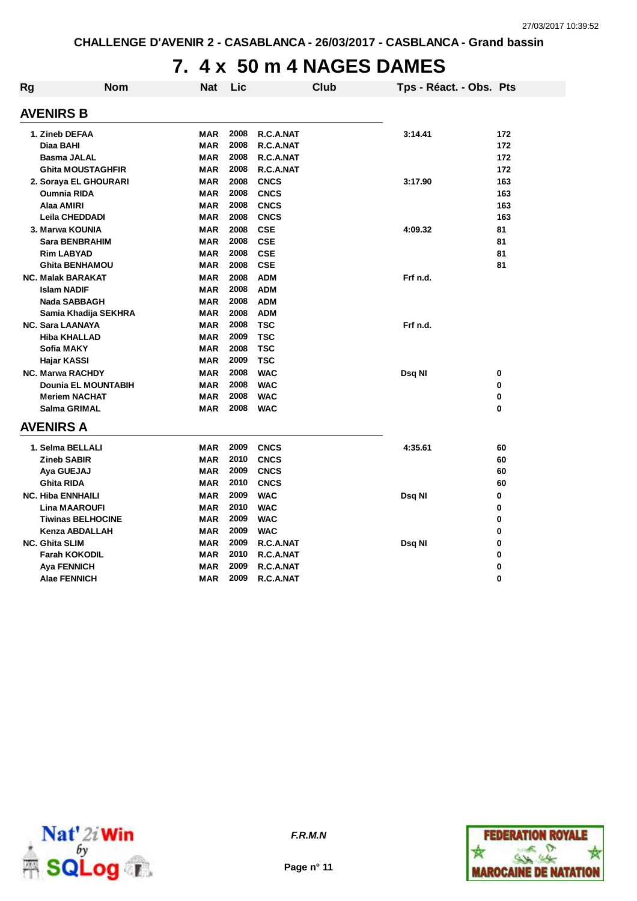### **7. 4 x 50 m 4 NAGES DAMES**

| <b>Rg</b> | <b>Nom</b>                  | <b>Nat</b>               | Lic          |                        | <b>Club</b> | Tps - Réact. - Obs. Pts |            |
|-----------|-----------------------------|--------------------------|--------------|------------------------|-------------|-------------------------|------------|
|           | <b>AVENIRS B</b>            |                          |              |                        |             |                         |            |
|           | 1. Zineb DEFAA<br>Diaa BAHI | <b>MAR</b><br><b>MAR</b> | 2008<br>2008 | R.C.A.NAT<br>R.C.A.NAT |             | 3:14.41                 | 172<br>172 |
|           | <b>Basma JALAL</b>          | MAR                      | 2008         | R.C.A.NAT              |             |                         | 172        |
|           | <b>Ghita MOUSTAGHFIR</b>    | <b>MAR</b>               | 2008         | R.C.A.NAT              |             |                         | 172        |
|           | 2. Soraya EL GHOURARI       | <b>MAR</b>               | 2008         | <b>CNCS</b>            |             | 3:17.90                 | 163        |
|           | <b>Oumnia RIDA</b>          | <b>MAR</b>               | 2008         | <b>CNCS</b>            |             |                         | 163        |
|           | Alaa AMIRI                  | <b>MAR</b>               | 2008         | <b>CNCS</b>            |             |                         | 163        |
|           | <b>Leila CHEDDADI</b>       | <b>MAR</b>               | 2008         | <b>CNCS</b>            |             |                         | 163        |
|           | 3. Marwa KOUNIA             | <b>MAR</b>               | 2008         | <b>CSE</b>             |             | 4:09.32                 | 81         |
|           | <b>Sara BENBRAHIM</b>       | <b>MAR</b>               | 2008         | <b>CSE</b>             |             |                         | 81         |
|           | <b>Rim LABYAD</b>           | <b>MAR</b>               | 2008         | <b>CSE</b>             |             |                         | 81         |
|           | <b>Ghita BENHAMOU</b>       | <b>MAR</b>               | 2008         | <b>CSE</b>             |             |                         | 81         |
|           | <b>NC. Malak BARAKAT</b>    | <b>MAR</b>               | 2008         | <b>ADM</b>             |             | Frf n.d.                |            |
|           | <b>Islam NADIF</b>          | <b>MAR</b>               | 2008         | <b>ADM</b>             |             |                         |            |
|           | <b>Nada SABBAGH</b>         | <b>MAR</b>               | 2008         | <b>ADM</b>             |             |                         |            |
|           | Samia Khadija SEKHRA        | <b>MAR</b>               | 2008         | <b>ADM</b>             |             |                         |            |
|           | <b>NC. Sara LAANAYA</b>     | MAR                      | 2008         | <b>TSC</b>             |             | Frf n.d.                |            |
|           | <b>Hiba KHALLAD</b>         | <b>MAR</b>               | 2009         | <b>TSC</b>             |             |                         |            |
|           | <b>Sofia MAKY</b>           | <b>MAR</b>               | 2008         | <b>TSC</b>             |             |                         |            |
|           | Hajar KASSI                 | <b>MAR</b>               | 2009         | <b>TSC</b>             |             |                         |            |
|           | <b>NC. Marwa RACHDY</b>     | <b>MAR</b>               | 2008         | <b>WAC</b>             |             | Dsq NI                  | 0          |
|           | <b>Dounia EL MOUNTABIH</b>  | <b>MAR</b>               | 2008         | <b>WAC</b>             |             |                         | 0          |
|           | <b>Meriem NACHAT</b>        | <b>MAR</b>               | 2008         | <b>WAC</b>             |             |                         | 0          |
|           | <b>Salma GRIMAL</b>         | <b>MAR</b>               | 2008         | <b>WAC</b>             |             |                         | 0          |
|           | <b>AVENIRS A</b>            |                          |              |                        |             |                         |            |
|           | 1. Selma BELLALI            | <b>MAR</b>               | 2009         | <b>CNCS</b>            |             | 4:35.61                 | 60         |
|           | <b>Zineb SABIR</b>          | <b>MAR</b>               | 2010         | <b>CNCS</b>            |             |                         | 60         |
|           | Aya GUEJAJ                  | <b>MAR</b>               | 2009         | <b>CNCS</b>            |             |                         | 60         |
|           | <b>Ghita RIDA</b>           | <b>MAR</b>               | 2010         | <b>CNCS</b>            |             |                         | 60         |
|           | <b>NC. Hiba ENNHAILI</b>    | <b>MAR</b>               | 2009         | <b>WAC</b>             |             | Dsq NI                  | 0          |
|           | <b>Lina MAAROUFI</b>        | <b>MAR</b>               | 2010         | <b>WAC</b>             |             |                         | 0          |
|           | <b>Tiwinas BELHOCINE</b>    | <b>MAR</b>               | 2009         | <b>WAC</b>             |             |                         | 0          |
|           | <b>Kenza ABDALLAH</b>       | <b>MAR</b>               | 2009         | <b>WAC</b>             |             |                         | 0          |
|           | <b>NC. Ghita SLIM</b>       | <b>MAR</b>               | 2009         | R.C.A.NAT              |             | Dsq NI                  | 0          |
|           | <b>Farah KOKODIL</b>        | <b>MAR</b>               | 2010         | R.C.A.NAT              |             |                         | 0          |
|           | <b>Aya FENNICH</b>          | <b>MAR</b>               | 2009         | R.C.A.NAT              |             |                         | 0          |
|           | <b>Alae FENNICH</b>         | <b>MAR</b>               | 2009         | R.C.A.NAT              |             |                         | 0          |